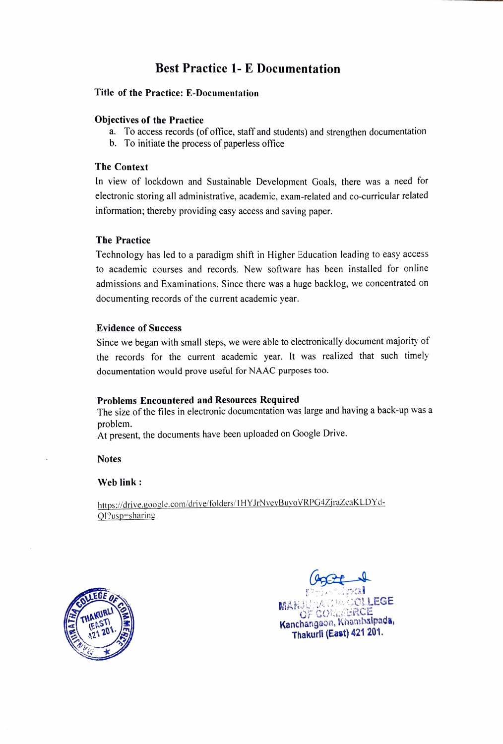# Best Practice 1- E Documentation

### Title of the Practice: E-Documentation

### Objectives of the Practice

- a. To access records (of office, staff and students) and strengthen documentation
- b. To initiate the process of paperless office

### The Context

In view of lockdown and Sustainable Development Goals, there was a need for electronic storing all administrative, academic, exam-related and co-curricular related information; thereby providing easy access and saving paper.

### The Practice

Technology has led to a paradigm shift in Higher Education leading to easy access to academic courses and records. New software has been installed for online admissions and Examinations. Since there was a huge backlog, we concentrated on documenting records of the current academic year.

### Evidence of Success

Since we began with small steps, we were able to electronically document majority of the records for the current academic year. It was realized that such timely documentation would prove useful for NAAC purposes too.

### Problems Encountered and Resources Required

The size of the files in electronic documentation was large and having a back-up was a problem.

At present, the documents have been uploaded on Google Drive.

**Notes** 

Web link :

https:/drive.gooele.com/drive/folders/1 HYJrNvevBuyoVRPG4ZjraZcakLDYd-OI?usp=sharing



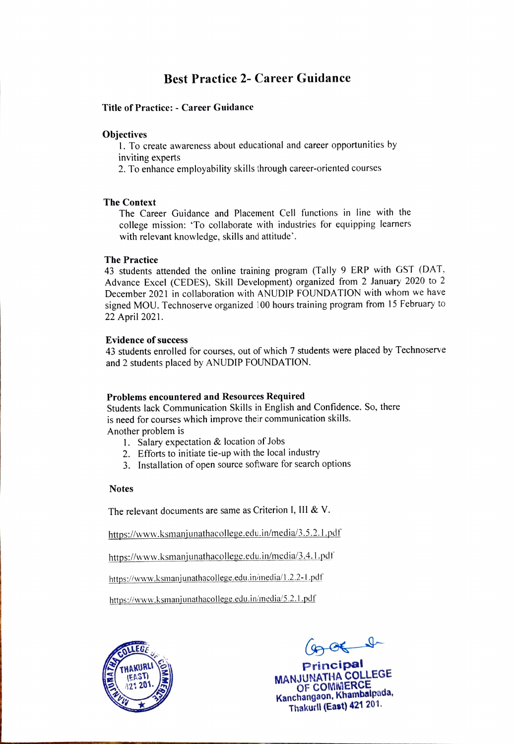# Best Practice 2- Career Guidance

Title of Practice: - Career Guidance

Objectives<br>1. To create awareness about educational and career opportunities by inviting experts

2. To enhance employability skills through career-oriented courses

### The Context

The Career Guidance and Placement Cell functions in line with the college mission: To collaborate with industries for equipping learners with relevant knowledge, skills and attitude'.

### The Practice

43 students attended the online training program (Tally 9 ERP with GST (DAT. Advance Excel (CEDES), Skill Development) organized from 2 January 2020 to 2 December 2021 in collaboration with ANUDIP FOUNDATION with whom we have signed MOU. Technoserve organized 100 hours training program from 15 February to 22 April 2021.

### Evidence of success

43 students enrolled for courses, out of which 7 students were placed by Technoserve and 2 students placed by ANUDIP FOUNDATION.

### Problems encountered and Resources Required

Students lack Communication Skills in English and Confidence. So, there is need for courses which improve their communication skills. Another problem is

- 1. Salary expectation & location of Jobs
- 2. Efforts to initiate tie-up with the local industry
- 3. Installation of open source software for search options

### Notes

The relevant documents are same as Criterion I, III & V.

https://www.ksmanjunathacollege.edu.in/media/3.5.2,.1.pdf

https://www.ksmanjunathacollege.edu.in/media/3.4. l.pdf

https://www.ksmanjunathacollege.edu.in/media/1.2.2-1.pdf

https://www.ksmanjunathacollege.edu.in/media/5.2.1.pdf



 $(9, 06 - 1)$ 

MANJUNATHA COLLEGE OF COMiMERCE Kanchangaon, Khambalpada, Thakurli (East) 421 201.